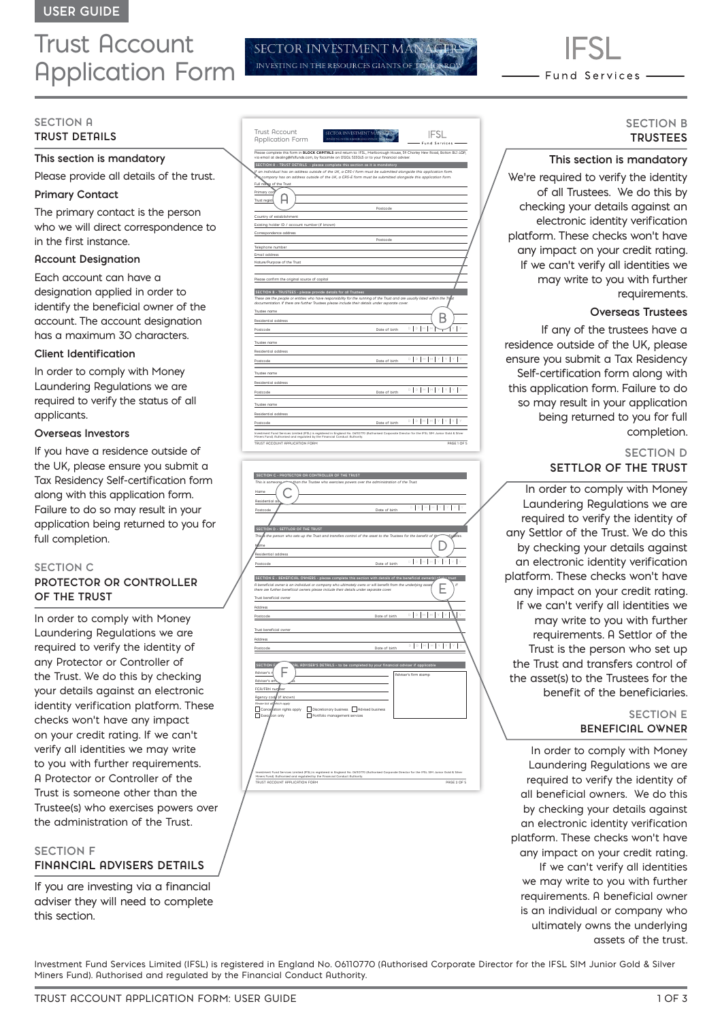## Trust Account Application Form

**SECTION A TRUST DETAILS** 

#### **This section is mandatory**

Please provide all details of the trust.

#### **Primary Contact**

The primary contact is the person who we will direct correspondence to in the first instance.

#### **Account Designation**

Each account can have a designation applied in order to identify the beneficial owner of the account. The account designation has a maximum 30 characters.

#### **Client Identification**

In order to comply with Money Laundering Regulations we are required to verify the status of all applicants.

#### **Overseas Investors**

If you have a residence outside of the UK, please ensure you submit a Tax Residency Self-certification form along with this application form. Failure to do so may result in your application being returned to you for full completion.

#### **SECTION C**

#### **PROTECTOR OR CONTROLLER OF THE TRUST**

In order to comply with Money Laundering Regulations we are required to verify the identity of any Protector or Controller of the Trust. We do this by checking your details against an electronic identity verification platform. These checks won't have any impact on your credit rating. If we can't verify all identities we may write to you with further requirements. A Protector or Controller of the Trust is someone other than the Trustee(s) who exercises powers over the administration of the Trust.

#### **SECTION F**

#### **FINANCIAL ADVISERS DETAILS**

If you are investing via a financial adviser they will need to complete this section.

| <b>Trust Account</b><br><b>SECTOR INVESTMENT</b>                                                                                                                                                                                  |               |                                                                                  |
|-----------------------------------------------------------------------------------------------------------------------------------------------------------------------------------------------------------------------------------|---------------|----------------------------------------------------------------------------------|
| <b>INVISTING IN THE RESOURCES GIANTS</b><br><b>Application Form</b>                                                                                                                                                               |               | Fund Services -                                                                  |
| Please complete this form in <b>BLOCK CAPITALS</b> and return to: IFSL, Marlborough House, 59 Chorley New Road, Bolton BL1 4QP,<br>via email at dealing@ifsIfunds.com, by facsimile on 01204 533045 or to your financial adviser. |               |                                                                                  |
| SECTION A - TRUST DETAILS - please complete this section as it is mandatory                                                                                                                                                       |               |                                                                                  |
| If an individual has an address outside of the UK, a CRS-I form must be submitted alongside this application form.                                                                                                                |               |                                                                                  |
| company has an address outside of the UK, a CRS-E form must be submitted alongside this application form.<br>Full name of the Trust                                                                                               |               |                                                                                  |
| Primary cor                                                                                                                                                                                                                       |               |                                                                                  |
| Trust regist                                                                                                                                                                                                                      |               |                                                                                  |
|                                                                                                                                                                                                                                   | Postcode      |                                                                                  |
| Country of establishment                                                                                                                                                                                                          |               |                                                                                  |
| Existing holder ID / account number (if known)                                                                                                                                                                                    |               |                                                                                  |
| Correspondence address                                                                                                                                                                                                            |               |                                                                                  |
|                                                                                                                                                                                                                                   | Postcode      |                                                                                  |
| Telephone number                                                                                                                                                                                                                  |               |                                                                                  |
| Email address                                                                                                                                                                                                                     |               |                                                                                  |
| Nature/Purpose of the Trust                                                                                                                                                                                                       |               |                                                                                  |
|                                                                                                                                                                                                                                   |               |                                                                                  |
| Please confirm the original source of capital                                                                                                                                                                                     |               |                                                                                  |
| SECTION B - TRUSTEES - please provide details for all Trustees                                                                                                                                                                    |               |                                                                                  |
| These are the people or entities who have responsibility for the running of the Trust and are usually listed within the Trilist                                                                                                   |               |                                                                                  |
| documentation. If there are further Trustees please include their details under separate cover.                                                                                                                                   |               |                                                                                  |
| Trustee name                                                                                                                                                                                                                      |               |                                                                                  |
| Residential address                                                                                                                                                                                                               |               |                                                                                  |
| Postcode                                                                                                                                                                                                                          | Date of birth | D.<br>D.                                                                         |
|                                                                                                                                                                                                                                   |               |                                                                                  |
| Trustee name                                                                                                                                                                                                                      |               |                                                                                  |
| <b>Residential address</b>                                                                                                                                                                                                        |               |                                                                                  |
| <b>Postcode</b>                                                                                                                                                                                                                   | Date of birth | $\mathsf{D} \quad \mathsf{D} \quad \mathsf{M} \quad \mathsf{M} \quad \mathsf{Y}$ |
| Trustee name                                                                                                                                                                                                                      |               |                                                                                  |
| Residential address                                                                                                                                                                                                               |               |                                                                                  |
| Postcode                                                                                                                                                                                                                          | Date of birth | D N M Y                                                                          |
|                                                                                                                                                                                                                                   |               |                                                                                  |
| Trustee name                                                                                                                                                                                                                      |               |                                                                                  |
| Residential address                                                                                                                                                                                                               |               |                                                                                  |
| Postcode                                                                                                                                                                                                                          | Date of birth | $D$ $N$ $M$                                                                      |
| Investment Fund Services Limited (IFSL) is registered in England No. 06110770 (Authorised Corporate Director for the IFSL SIM Junior Gold & Silver<br>Miners Fund). Ruthorised and regulated by the Financial Conduct Ruthority.  |               |                                                                                  |
| TRUST ACCOUNT APPLICATION FORM                                                                                                                                                                                                    |               | PAGE 1 OF 5                                                                      |
|                                                                                                                                                                                                                                   |               |                                                                                  |

SECTOR INVESTMENT M INVESTING IN THE RESOURCES GIANTS OF

| than the Trustee who exercises powers over the administration of the Trust.<br>DDM<br>Date of birth<br>tialfries.<br>This. Is the person who sets up the Trust and transfers control of the asset to the Trustees for the benefit of the<br>ń<br>Date of birth<br>SECTION E - BENEFICIAL OWNERS - please complete this section with details of the beneficial owner(s)<br>trust<br>Ħ<br>A beneficial owner is an individual or company who ultimately owns or will benefit from the underlying asset                                                                             |
|----------------------------------------------------------------------------------------------------------------------------------------------------------------------------------------------------------------------------------------------------------------------------------------------------------------------------------------------------------------------------------------------------------------------------------------------------------------------------------------------------------------------------------------------------------------------------------|
|                                                                                                                                                                                                                                                                                                                                                                                                                                                                                                                                                                                  |
|                                                                                                                                                                                                                                                                                                                                                                                                                                                                                                                                                                                  |
|                                                                                                                                                                                                                                                                                                                                                                                                                                                                                                                                                                                  |
|                                                                                                                                                                                                                                                                                                                                                                                                                                                                                                                                                                                  |
|                                                                                                                                                                                                                                                                                                                                                                                                                                                                                                                                                                                  |
|                                                                                                                                                                                                                                                                                                                                                                                                                                                                                                                                                                                  |
|                                                                                                                                                                                                                                                                                                                                                                                                                                                                                                                                                                                  |
|                                                                                                                                                                                                                                                                                                                                                                                                                                                                                                                                                                                  |
|                                                                                                                                                                                                                                                                                                                                                                                                                                                                                                                                                                                  |
|                                                                                                                                                                                                                                                                                                                                                                                                                                                                                                                                                                                  |
|                                                                                                                                                                                                                                                                                                                                                                                                                                                                                                                                                                                  |
|                                                                                                                                                                                                                                                                                                                                                                                                                                                                                                                                                                                  |
|                                                                                                                                                                                                                                                                                                                                                                                                                                                                                                                                                                                  |
|                                                                                                                                                                                                                                                                                                                                                                                                                                                                                                                                                                                  |
|                                                                                                                                                                                                                                                                                                                                                                                                                                                                                                                                                                                  |
| there are further beneficial owners please include their details under separate cover.                                                                                                                                                                                                                                                                                                                                                                                                                                                                                           |
|                                                                                                                                                                                                                                                                                                                                                                                                                                                                                                                                                                                  |
|                                                                                                                                                                                                                                                                                                                                                                                                                                                                                                                                                                                  |
| $\mathbb{D} \left[ \left. \right. \right. \left. \left. \right. \left. \right. \left. \right. \left. \left. \right. \left. \right. \left. \left. \right. \right. \left. \left. \right. \left. \right. \left. \right. \left. \right. \left. \right. \left. \right. \left. \left. \right. \right. \left. \left. \right. \left. \right. \left. \right. \left. \right. \left. \left. \right. \right. \left. \left. \right. \right. \left. \left. \right. \left. \left. \right. \right. \left. \left. \right. \right. \left. \left. \right. \left. \right. \left. \$<br>Date of birth |
|                                                                                                                                                                                                                                                                                                                                                                                                                                                                                                                                                                                  |
|                                                                                                                                                                                                                                                                                                                                                                                                                                                                                                                                                                                  |
|                                                                                                                                                                                                                                                                                                                                                                                                                                                                                                                                                                                  |
| $\mathbb{R}$<br>D M<br>Date of birth                                                                                                                                                                                                                                                                                                                                                                                                                                                                                                                                             |
|                                                                                                                                                                                                                                                                                                                                                                                                                                                                                                                                                                                  |
|                                                                                                                                                                                                                                                                                                                                                                                                                                                                                                                                                                                  |
| (AL ADVISER'S DETAILS - to be completed by your financial adviser if applicable                                                                                                                                                                                                                                                                                                                                                                                                                                                                                                  |
| Adviser's firm stamp                                                                                                                                                                                                                                                                                                                                                                                                                                                                                                                                                             |
|                                                                                                                                                                                                                                                                                                                                                                                                                                                                                                                                                                                  |
|                                                                                                                                                                                                                                                                                                                                                                                                                                                                                                                                                                                  |
|                                                                                                                                                                                                                                                                                                                                                                                                                                                                                                                                                                                  |
| Discretionary business Advised business                                                                                                                                                                                                                                                                                                                                                                                                                                                                                                                                          |
|                                                                                                                                                                                                                                                                                                                                                                                                                                                                                                                                                                                  |
|                                                                                                                                                                                                                                                                                                                                                                                                                                                                                                                                                                                  |
|                                                                                                                                                                                                                                                                                                                                                                                                                                                                                                                                                                                  |
|                                                                                                                                                                                                                                                                                                                                                                                                                                                                                                                                                                                  |
|                                                                                                                                                                                                                                                                                                                                                                                                                                                                                                                                                                                  |
|                                                                                                                                                                                                                                                                                                                                                                                                                                                                                                                                                                                  |
|                                                                                                                                                                                                                                                                                                                                                                                                                                                                                                                                                                                  |
|                                                                                                                                                                                                                                                                                                                                                                                                                                                                                                                                                                                  |
| Investment Fund Services Limited (IFSL) is registered in England No. 06110770 (Authorised Corporate Director for the IFSL SIM Junior Gold & Silver                                                                                                                                                                                                                                                                                                                                                                                                                               |
|                                                                                                                                                                                                                                                                                                                                                                                                                                                                                                                                                                                  |
|                                                                                                                                                                                                                                                                                                                                                                                                                                                                                                                                                                                  |

# Fund Services -

#### **SECTION B TRUSTEES**

#### **This section is mandatory**

We're required to verify the identity of all Trustees. We do this by checking your details against an electronic identity verification platform. These checks won't have any impact on your credit rating. If we can't verify all identities we may write to you with further requirements.

#### **Overseas Trustees**

If any of the trustees have a residence outside of the UK, please ensure you submit a Tax Residency Self-certification form along with this application form. Failure to do so may result in your application being returned to you for full completion.

#### **SECTION D SETTLOR OF THE TRUST**

In order to comply with Money Laundering Regulations we are required to verify the identity of any Settlor of the Trust. We do this by checking your details against an electronic identity verification platform. These checks won't have any impact on your credit rating. If we can't verify all identities we may write to you with further requirements. A Settlor of the Trust is the person who set up the Trust and transfers control of the asset(s) to the Trustees for the benefit of the beneficiaries.

#### **SECTION E BENEFICIAL OWNER**

In order to comply with Money Laundering Regulations we are required to verify the identity of all beneficial owners. We do this by checking your details against an electronic identity verification platform. These checks won't have any impact on your credit rating. If we can't verify all identities we may write to you with further requirements. A beneficial owner is an individual or company who ultimately owns the underlying assets of the trust.

Investment Fund Services Limited (IFSL) is registered in England No. 06110770 (Authorised Corporate Director for the IFSL SIM Junior Gold & Silver Miners Fund). Authorised and regulated by the Financial Conduct Authority.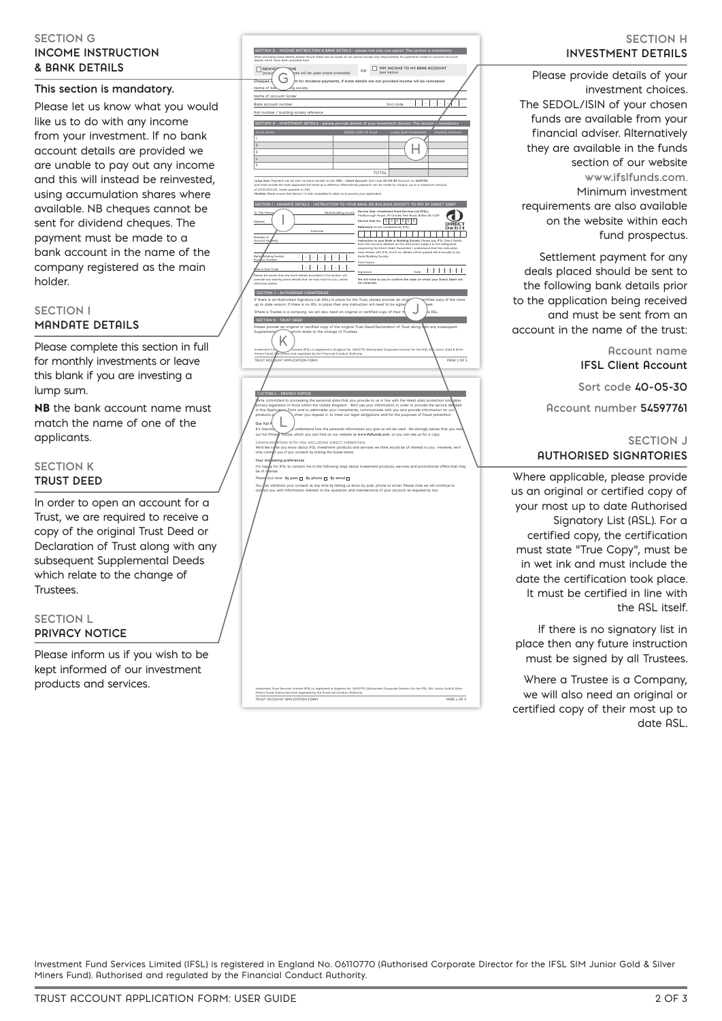#### **SECTION G INCOME INSTRUCTION & BANK DETAILS**

#### **This section is mandatory.**

Please let us know what you would like us to do with any income from your investment. If no bank account details are provided we are unable to pay out any income and this will instead be reinvested, using accumulation shares where available. NB cheques cannot be sent for dividend cheques. The payment must be made to a bank account in the name of the company registered as the main holder.

#### **SECTION I MANDATE DETAILS**

Please complete this section in full for monthly investments or leave this blank if you are investing a lump sum.

NB the bank account name must match the name of one of the applicants.

#### **SECTION K TRUST DEED**

In order to open an account for a Trust, we are required to receive a copy of the original Trust Deed or Declaration of Trust along with any subsequent Supplemental Deeds which relate to the change of Trustees.

#### **SECTION L PRIVACY NOTICE**

Please inform us if you wish to be kept informed of our investment products and services.

|                                                                                                                                                                    | SECTION G - INCOME INSTRUCTION & BANK DETAILS - please tick only one option. This section is mandatory                                                                                                                                                  |
|--------------------------------------------------------------------------------------------------------------------------------------------------------------------|---------------------------------------------------------------------------------------------------------------------------------------------------------------------------------------------------------------------------------------------------------|
| When providing bank details please ensure these are accurate as we cannot accept any responsibility for payme<br>details which have been provided here.            | nts made to                                                                                                                                                                                                                                             |
| REINVER<br>ME<br>res will be used where available)<br>(accu                                                                                                        | PRY INCOME TO MY BANK ACCOUNT<br>OR<br>(see below)                                                                                                                                                                                                      |
| F<br>Cheques                                                                                                                                                       | nt for dividend payments, if bank details are not provided income will be reinvested.                                                                                                                                                                   |
| Name of b<br>society                                                                                                                                               |                                                                                                                                                                                                                                                         |
| Name of account holder                                                                                                                                             |                                                                                                                                                                                                                                                         |
| Bank account number                                                                                                                                                | Sort code                                                                                                                                                                                                                                               |
| Roll number / building society reference                                                                                                                           |                                                                                                                                                                                                                                                         |
| SECTION H - INVESTMENT DETAILS - please provide details of your investment choices. This section                                                                   |                                                                                                                                                                                                                                                         |
| 1.                                                                                                                                                                 | SEDOL/ISIN of Fund<br><b>Luc</b><br>thly Ar                                                                                                                                                                                                             |
| $\overline{2}$                                                                                                                                                     |                                                                                                                                                                                                                                                         |
| 3.                                                                                                                                                                 |                                                                                                                                                                                                                                                         |
| $\overline{L}$<br>S                                                                                                                                                |                                                                                                                                                                                                                                                         |
|                                                                                                                                                                    | TOTAL                                                                                                                                                                                                                                                   |
| Lump Sum: Payment can be sent via bank transfer to the 'IFSL - Client Account' Sort code 40-05-30 Account no. 54597761.                                            |                                                                                                                                                                                                                                                         |
| le the main applicants full name as a re<br>e. Alb<br>of £100,000.00, made payable to IFSL.                                                                        | matively payment can be made by cheque, up to a n<br>um amount                                                                                                                                                                                          |
| Monthly: Please ensure that Section I is fully completed to allow us to process your application                                                                   |                                                                                                                                                                                                                                                         |
|                                                                                                                                                                    | SECTION I - MANDATE DETAILS - INSTRUCTION TO YOUR BANK OR BUILDING SOCIETY TO PAY BY DIRECT DEBIT<br>Service User: Investment Fund Services Ltd (IFSL),                                                                                                 |
| To: The Mana<br>Bank/building society                                                                                                                              | Marlborough House, 59 Charley New Road, Bolton BL1 4QP                                                                                                                                                                                                  |
| Address                                                                                                                                                            | Service User No: $2 \mid 4 \mid 6 \mid 5 \mid 6 \mid 6$<br>Reference: (to be completed by IFSL)                                                                                                                                                         |
|                                                                                                                                                                    | ٠                                                                                                                                                                                                                                                       |
| Name(s) of<br>Rocount He                                                                                                                                           | Instruction to your Bank or Building Society: Please pay IFSL Direct Debits<br>from the account detailed on this instruction subject to the safeguards                                                                                                  |
|                                                                                                                                                                    | assured by the Direct Debit Guarantee. I understand that this inst<br>uction<br>with IFSL and if so, details will be passed electronically to my<br>may remain with IFSL<br>Bank/Building Society.                                                      |
| ng Society<br>$\mathbb{D} \quad \mathbb{D} \quad \mathbb{M}$<br>Bar<br><u>Boc</u>                                                                                  | Print Name                                                                                                                                                                                                                                              |
| ı                                                                                                                                                                  | $_{\sf{Doto}}$ = $\lceil$ = $\lceil$ = $\lceil$ = $\lceil$ = $\lceil$ = $\lceil$ = $\lceil$ = $\lceil$ =<br>Signature                                                                                                                                   |
| .<br>Please be aware that any bank details provided in this section will<br>override any existing bank details that we may hold for you, unless<br>therwise stated | We will write to you to confirm the date on which your Direct Debit will<br>be collected                                                                                                                                                                |
|                                                                                                                                                                    |                                                                                                                                                                                                                                                         |
| SECTION J - AUTHORISED SIGNATORIES<br>If there is an Authorised Signatory List (ASL) in place for the Trust, please provide an origi                               | etified copy of the most                                                                                                                                                                                                                                |
| up to date version. If there is no ASL in place then any instruction will need to be signe                                                                         |                                                                                                                                                                                                                                                         |
| Where a Trustee is a company, we will also need an original or certified copy of their n                                                                           | e ASL                                                                                                                                                                                                                                                   |
| <b>SECTION K - TRUST DEED</b>                                                                                                                                      | Please provide an original or certified copy of the original Trust Deed/Declaration of Trust along with any subsequent                                                                                                                                  |
| Supplement<br>which relate to the change of Trustees.                                                                                                              |                                                                                                                                                                                                                                                         |
|                                                                                                                                                                    |                                                                                                                                                                                                                                                         |
| Investment Fur<br>Miners Fund). Q<br>Ethorised and regulated by the Financial Conduct Ruthority.                                                                   | Limited (IFSL) is registered in England No. 06110770 (Authorised Corporate Director for the IFSL SIN Junior Gold & Silver                                                                                                                               |
| UNT APPLICATION FORM<br><b>TRUST ACC</b>                                                                                                                           | <b>POGE 3 OF 5</b>                                                                                                                                                                                                                                      |
|                                                                                                                                                                    |                                                                                                                                                                                                                                                         |
|                                                                                                                                                                    |                                                                                                                                                                                                                                                         |
|                                                                                                                                                                    |                                                                                                                                                                                                                                                         |
| <b>FECTION L - PRIVACY NOTICE</b>                                                                                                                                  |                                                                                                                                                                                                                                                         |
|                                                                                                                                                                    | e're committed to processing the personal data that you provide to us in line with the latest data protection and data<br>privacy legislation in force within the United Kingdom. We'll use your information in order to provide the service de<br>iled |
| in this Application<br>products o                                                                                                                                  | -Eorm and to administer your investments, communicate with you and provide information on our<br>when you request it, to meet our legal obligations and for the purposes of fraud prevention.                                                           |
| Our full P                                                                                                                                                         |                                                                                                                                                                                                                                                         |
| It's importà                                                                                                                                                       | a understand how the personal information you give us will be used. We strongly advise that you read<br>our full Privagy Notice, which you can find on our website at www.ifsifunds.com, or you can ask us for a copy.                                  |
| COMMUNICATING WITH YOU INCLUDING DIRECT MARKETING                                                                                                                  |                                                                                                                                                                                                                                                         |
| We'd like tq<br>only contact you if you consent by ticking the boxes below.                                                                                        | et you know about IFSL investment products and services we think would be of interest to you. However, we'll                                                                                                                                            |
| Your malketing preferences                                                                                                                                         |                                                                                                                                                                                                                                                         |
|                                                                                                                                                                    | I'm happy for IFSL to contact me in the following ways about investment products, services and promotional offers that may<br>he of these the cost                                                                                                      |
| be of i<br>erest.<br>Pleas<br>tick here: By post [ By phone [ By email [ ]                                                                                         |                                                                                                                                                                                                                                                         |
| You                                                                                                                                                                | an withdraw your consent at any time by letting us know by post, phone or email. Please note we will continue to                                                                                                                                        |
| cor                                                                                                                                                                | act you with information relevant to the operation and maintenance of your account as required by law.                                                                                                                                                  |
|                                                                                                                                                                    |                                                                                                                                                                                                                                                         |
|                                                                                                                                                                    |                                                                                                                                                                                                                                                         |
|                                                                                                                                                                    |                                                                                                                                                                                                                                                         |
|                                                                                                                                                                    |                                                                                                                                                                                                                                                         |
|                                                                                                                                                                    |                                                                                                                                                                                                                                                         |
|                                                                                                                                                                    |                                                                                                                                                                                                                                                         |
|                                                                                                                                                                    |                                                                                                                                                                                                                                                         |
|                                                                                                                                                                    |                                                                                                                                                                                                                                                         |
|                                                                                                                                                                    |                                                                                                                                                                                                                                                         |
|                                                                                                                                                                    |                                                                                                                                                                                                                                                         |
|                                                                                                                                                                    |                                                                                                                                                                                                                                                         |
|                                                                                                                                                                    |                                                                                                                                                                                                                                                         |
|                                                                                                                                                                    |                                                                                                                                                                                                                                                         |
|                                                                                                                                                                    |                                                                                                                                                                                                                                                         |
|                                                                                                                                                                    |                                                                                                                                                                                                                                                         |
|                                                                                                                                                                    |                                                                                                                                                                                                                                                         |
|                                                                                                                                                                    |                                                                                                                                                                                                                                                         |
|                                                                                                                                                                    |                                                                                                                                                                                                                                                         |
|                                                                                                                                                                    |                                                                                                                                                                                                                                                         |
|                                                                                                                                                                    |                                                                                                                                                                                                                                                         |
|                                                                                                                                                                    |                                                                                                                                                                                                                                                         |
|                                                                                                                                                                    |                                                                                                                                                                                                                                                         |
|                                                                                                                                                                    |                                                                                                                                                                                                                                                         |
| TRUST ACCOUNT APPLICATION FORM                                                                                                                                     | Investment Fund Services Limited (IFSL) is registered in England No. Oo110770 (Authorised Corporate Director for the IFSL SIM Junior Gold & Silver<br>Miners Fund), Authorised and regulated by the Financial Conduct Authority.<br>PAGE 4 OF 5         |

#### **SECTION H INVESTMENT DETAILS**

Please provide details of your investment choices. The SEDOL/ISIN of your chosen funds are available from your financial adviser. Alternatively they are available in the funds section of our website **www.ifslfunds.com**. Minimum investment requirements are also available on the website within each fund prospectus.

Settlement payment for any deals placed should be sent to the following bank details prior to the application being received and must be sent from an account in the name of the trust:

> **Account name IFSL Client Account**

**Sort code 40-05-30** 

**Account number 54597761**

#### **SECTION J AUTHORISED SIGNATORIES**

Where applicable, please provide us an original or certified copy of your most up to date Authorised Signatory List (ASL). For a certified copy, the certification must state "True Copy", must be in wet ink and must include the date the certification took place. It must be certified in line with the ASL itself.

If there is no signatory list in place then any future instruction must be signed by all Trustees.

Where a Trustee is a Company, we will also need an original or certified copy of their most up to date ASL.

Investment Fund Services Limited (IFSL) is registered in England No. 06110770 (Authorised Corporate Director for the IFSL SIM Junior Gold & Silver Miners Fund). Authorised and regulated by the Financial Conduct Authority.